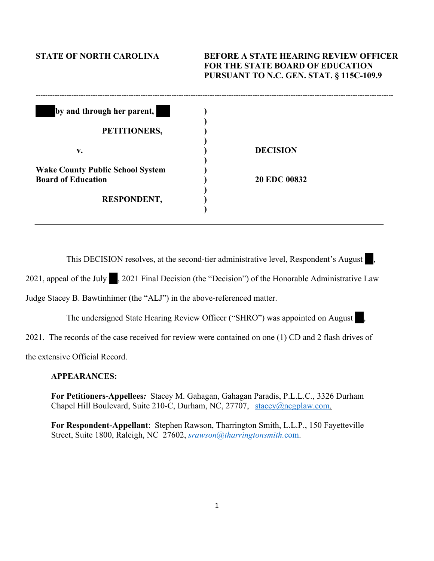# **STATE OF NORTH CAROLINA BEFORE A STATE HEARING REVIEW OFFICER FOR THE STATE BOARD OF EDUCATION PURSUANT TO N.C. GEN. STAT. § 115C-109.9**

| by and through her parent,              |                     |  |
|-----------------------------------------|---------------------|--|
| PETITIONERS,                            |                     |  |
| v.                                      | <b>DECISION</b>     |  |
| <b>Wake County Public School System</b> |                     |  |
| <b>Board of Education</b>               | <b>20 EDC 00832</b> |  |
| <b>RESPONDENT,</b>                      |                     |  |
|                                         |                     |  |

This DECISION resolves, at the second-tier administrative level, Respondent's August,

2021, appeal of the July , 2021 Final Decision (the "Decision") of the Honorable Administrative Law

Judge Stacey B. Bawtinhimer (the "ALJ") in the above-referenced matter.

The undersigned State Hearing Review Officer ("SHRO") was appointed on August,

2021. The records of the case received for review were contained on one (1) CD and 2 flash drives of

the extensive Official Record.

### **APPEARANCES:**

**For Petitioners-Appellees***:* Stacey M. Gahagan, Gahagan Paradis, P.L.L.C*.*, 3326 Durham Chapel Hill Boulevard, Suite 210-C, Durham, NC, 27707, stacey@ncgplaw.com.

**For Respondent-Appellant**: Stephen Rawson, Tharrington Smith, L.L.P., 150 Fayetteville Street, Suite 1800, Raleigh, NC 27602, *srawson@tharringtonsmith.*com.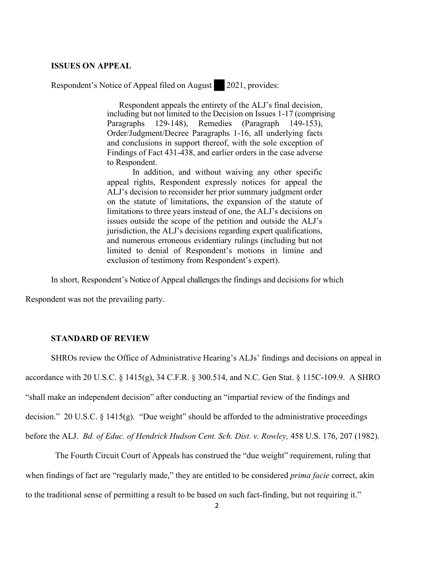## **ISSUES ON APPEAL**

Respondent's Notice of Appeal filed on August 2021, provides:

 Respondent appeals the entirety of the ALJ's final decision, including but not limited to the Decision on Issues 1-17 (comprising Paragraphs 129-148), Remedies (Paragraph 149-153), Order/Judgment/Decree Paragraphs 1-16, all underlying facts and conclusions in support thereof, with the sole exception of Findings of Fact 431-438, and earlier orders in the case adverse to Respondent.

In addition, and without waiving any other specific appeal rights, Respondent expressly notices for appeal the ALJ's decision to reconsider her prior summary judgment order on the statute of limitations, the expansion of the statute of limitations to three years instead of one, the ALJ's decisions on issues outside the scope of the petition and outside the ALJ's jurisdiction, the ALJ's decisions regarding expert qualifications, and numerous erroneous evidentiary rulings (including but not limited to denial of Respondent's motions in limine and exclusion of testimony from Respondent's expert).

In short, Respondent's Notice of Appeal challenges the findings and decisions for which

Respondent was not the prevailing party.

## **STANDARD OF REVIEW**

 SHROs review the Office of Administrative Hearing's ALJs' findings and decisions on appeal in accordance with 20 U.S.C. § 1415(g), 34 C.F.R. § 300.514, and N.C. Gen Stat. § 115C-109.9. A SHRO "shall make an independent decision" after conducting an "impartial review of the findings and decision." 20 U.S.C. § 1415(g). "Due weight" should be afforded to the administrative proceedings before the ALJ. *Bd. of Educ. of Hendrick Hudson Cent. Sch. Dist. v. Rowley,* 458 U.S. 176, 207 (1982).

 The Fourth Circuit Court of Appeals has construed the "due weight" requirement, ruling that when findings of fact are "regularly made," they are entitled to be considered *prima facie* correct, akin to the traditional sense of permitting a result to be based on such fact-finding, but not requiring it."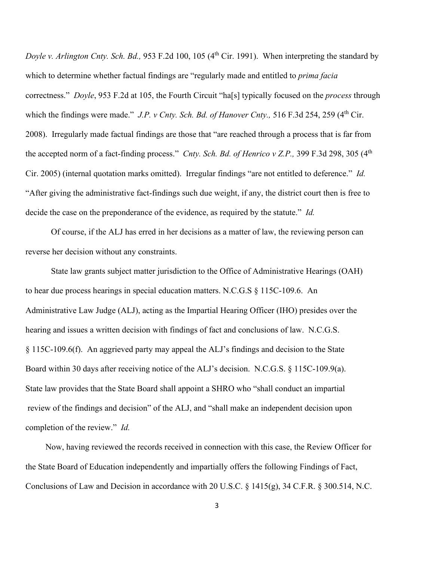*Doyle v. Arlington Cnty. Sch. Bd.,* 953 F.2d 100, 105 (4<sup>th</sup> Cir. 1991). When interpreting the standard by which to determine whether factual findings are "regularly made and entitled to *prima facia*  correctness." *Doyle*, 953 F.2d at 105, the Fourth Circuit "ha[s] typically focused on the *process* through which the findings were made." *J.P. v Cnty. Sch. Bd. of Hanover Cnty.*, 516 F.3d 254, 259 (4<sup>th</sup> Cir. 2008). Irregularly made factual findings are those that "are reached through a process that is far from the accepted norm of a fact-finding process." *Cnty. Sch. Bd. of Henrico v Z.P.*, 399 F.3d 298, 305 (4<sup>th</sup>) Cir. 2005) (internal quotation marks omitted). Irregular findings "are not entitled to deference." *Id.*  "After giving the administrative fact-findings such due weight, if any, the district court then is free to decide the case on the preponderance of the evidence, as required by the statute." *Id.*

Of course, if the ALJ has erred in her decisions as a matter of law, the reviewing person can reverse her decision without any constraints.

 State law grants subject matter jurisdiction to the Office of Administrative Hearings (OAH) to hear due process hearings in special education matters. N.C.G.S § 115C-109.6. An Administrative Law Judge (ALJ), acting as the Impartial Hearing Officer (IHO) presides over the hearing and issues a written decision with findings of fact and conclusions of law. N.C.G.S. § 115C-109.6(f). An aggrieved party may appeal the ALJ's findings and decision to the State Board within 30 days after receiving notice of the ALJ's decision. N.C.G.S. § 115C-109.9(a). State law provides that the State Board shall appoint a SHRO who "shall conduct an impartial review of the findings and decision" of the ALJ, and "shall make an independent decision upon completion of the review." *Id.* 

 Now, having reviewed the records received in connection with this case, the Review Officer for the State Board of Education independently and impartially offers the following Findings of Fact, Conclusions of Law and Decision in accordance with 20 U.S.C. § 1415(g), 34 C.F.R. § 300.514, N.C.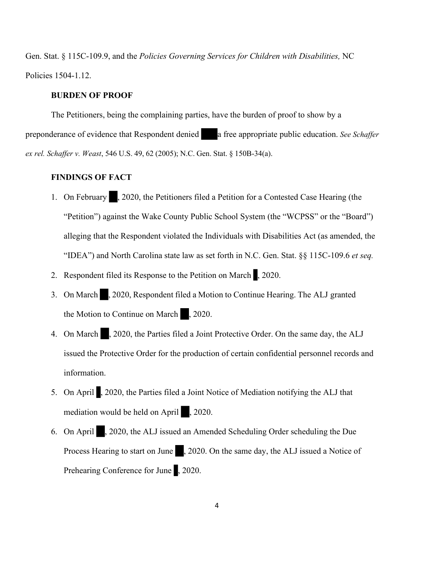Gen. Stat. § 115C-109.9, and the *Policies Governing Services for Children with Disabilities,* NC Policies 1504-1.12.

### **BURDEN OF PROOF**

The Petitioners, being the complaining parties, have the burden of proof to show by a preponderance of evidence that Respondent denied a free appropriate public education. *See Schaffer ex rel. Schaffer v. Weast*, 546 U.S. 49, 62 (2005); N.C. Gen. Stat. § 150B-34(a).

## **FINDINGS OF FACT**

- 1. On February , 2020, the Petitioners filed a Petition for a Contested Case Hearing (the "Petition") against the Wake County Public School System (the "WCPSS" or the "Board") alleging that the Respondent violated the Individuals with Disabilities Act (as amended, the "IDEA") and North Carolina state law as set forth in N.C. Gen. Stat. §§ 115C-109.6 *et seq.*
- 2. Respondent filed its Response to the Petition on March , 2020.
- 3. On March , 2020, Respondent filed a Motion to Continue Hearing. The ALJ granted the Motion to Continue on March , 2020.
- 4. On March , 2020, the Parties filed a Joint Protective Order. On the same day, the ALJ issued the Protective Order for the production of certain confidential personnel records and information.
- 5. On April , 2020, the Parties filed a Joint Notice of Mediation notifying the ALJ that mediation would be held on April , 2020.
- 6. On April , 2020, the ALJ issued an Amended Scheduling Order scheduling the Due Process Hearing to start on June  $\blacksquare$ , 2020. On the same day, the ALJ issued a Notice of Prehearing Conference for June , 2020.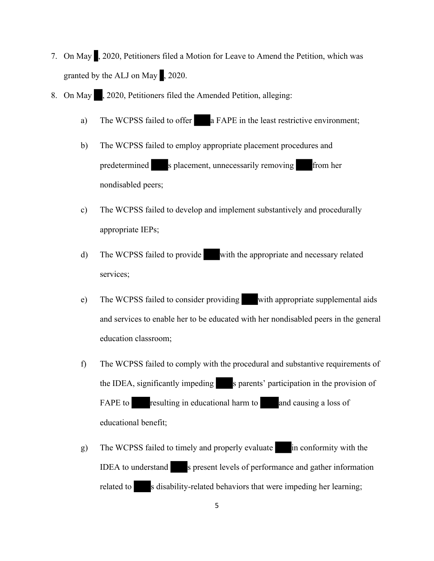- 7. On May , 2020, Petitioners filed a Motion for Leave to Amend the Petition, which was granted by the ALJ on May , 2020.
- 8. On May , 2020, Petitioners filed the Amended Petition, alleging:
	- a) The WCPSS failed to offer a FAPE in the least restrictive environment;
	- b) The WCPSS failed to employ appropriate placement procedures and predetermined s placement, unnecessarily removing from her nondisabled peers;
	- c) The WCPSS failed to develop and implement substantively and procedurally appropriate IEPs;
	- d) The WCPSS failed to provide with the appropriate and necessary related services;
	- e) The WCPSS failed to consider providing with appropriate supplemental aids and services to enable her to be educated with her nondisabled peers in the general education classroom;
	- f) The WCPSS failed to comply with the procedural and substantive requirements of the IDEA, significantly impeding s parents' participation in the provision of FAPE to resulting in educational harm to and causing a loss of educational benefit;
	- g) The WCPSS failed to timely and properly evaluate in conformity with the IDEA to understand s present levels of performance and gather information related to s disability-related behaviors that were impeding her learning;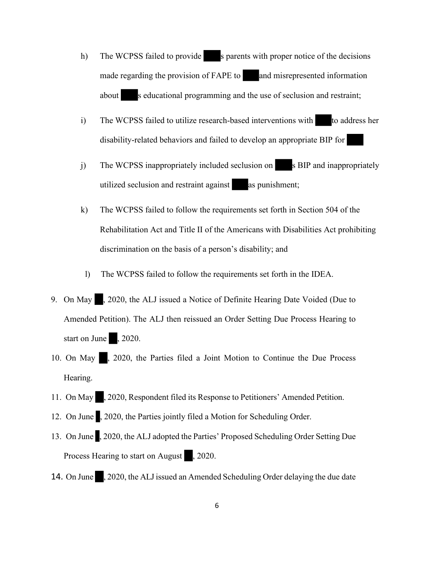- h) The WCPSS failed to provide s parents with proper notice of the decisions made regarding the provision of FAPE to and misrepresented information about s educational programming and the use of seclusion and restraint;
- i) The WCPSS failed to utilize research-based interventions with to address her disability-related behaviors and failed to develop an appropriate BIP for
- j) The WCPSS inappropriately included seclusion on s BIP and inappropriately utilized seclusion and restraint against as punishment;
- k) The WCPSS failed to follow the requirements set forth in Section 504 of the Rehabilitation Act and Title II of the Americans with Disabilities Act prohibiting discrimination on the basis of a person's disability; and
- l) The WCPSS failed to follow the requirements set forth in the IDEA.
- 9. On May , 2020, the ALJ issued a Notice of Definite Hearing Date Voided (Due to Amended Petition). The ALJ then reissued an Order Setting Due Process Hearing to start on June , 2020.
- 10. On May , 2020, the Parties filed a Joint Motion to Continue the Due Process Hearing.
- 11. On May , 2020, Respondent filed its Response to Petitioners' Amended Petition.
- 12. On June , 2020, the Parties jointly filed a Motion for Scheduling Order.
- 13. On June , 2020, the ALJ adopted the Parties' Proposed Scheduling Order Setting Due Process Hearing to start on August , 2020.
- 14. On June  $\Box$ , 2020, the ALJ issued an Amended Scheduling Order delaying the due date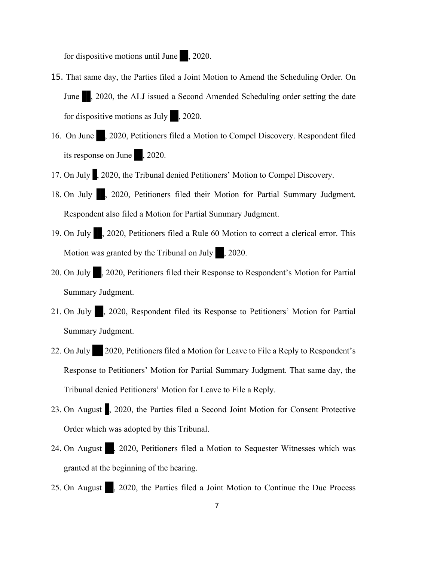for dispositive motions until June , 2020.

- 15. That same day, the Parties filed a Joint Motion to Amend the Scheduling Order. On June , 2020, the ALJ issued a Second Amended Scheduling order setting the date for dispositive motions as July , 2020.
- 16. On June  $\blacksquare$ , 2020, Petitioners filed a Motion to Compel Discovery. Respondent filed its response on June , 2020.
- 17. On July , 2020, the Tribunal denied Petitioners' Motion to Compel Discovery.
- 18. On July , 2020, Petitioners filed their Motion for Partial Summary Judgment. Respondent also filed a Motion for Partial Summary Judgment.
- 19. On July , 2020, Petitioners filed a Rule 60 Motion to correct a clerical error. This Motion was granted by the Tribunal on July , 2020.
- 20. On July , 2020, Petitioners filed their Response to Respondent's Motion for Partial Summary Judgment.
- 21. On July , 2020, Respondent filed its Response to Petitioners' Motion for Partial Summary Judgment.
- 22. On July 2020, Petitioners filed a Motion for Leave to File a Reply to Respondent's Response to Petitioners' Motion for Partial Summary Judgment. That same day, the Tribunal denied Petitioners' Motion for Leave to File a Reply.
- 23. On August , 2020, the Parties filed a Second Joint Motion for Consent Protective Order which was adopted by this Tribunal.
- 24. On August , 2020, Petitioners filed a Motion to Sequester Witnesses which was granted at the beginning of the hearing.
- 25. On August , 2020, the Parties filed a Joint Motion to Continue the Due Process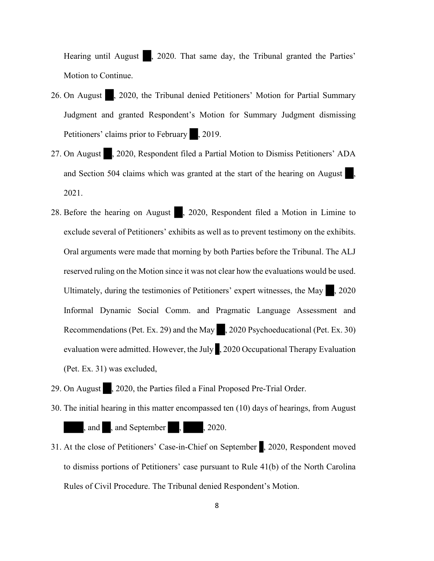Hearing until August , 2020. That same day, the Tribunal granted the Parties' Motion to Continue.

- 26. On August , 2020, the Tribunal denied Petitioners' Motion for Partial Summary Judgment and granted Respondent's Motion for Summary Judgment dismissing Petitioners' claims prior to February , 2019.
- 27. On August , 2020, Respondent filed a Partial Motion to Dismiss Petitioners' ADA and Section 504 claims which was granted at the start of the hearing on August $\overline{\phantom{a}}$ , 2021.
- 28. Before the hearing on August , 2020, Respondent filed a Motion in Limine to exclude several of Petitioners' exhibits as well as to prevent testimony on the exhibits. Oral arguments were made that morning by both Parties before the Tribunal. The ALJ reserved ruling on the Motion since it was not clear how the evaluations would be used. Ultimately, during the testimonies of Petitioners' expert witnesses, the May  $\vert$ , 2020 Informal Dynamic Social Comm. and Pragmatic Language Assessment and Recommendations (Pet. Ex. 29) and the May , 2020 Psychoeducational (Pet. Ex. 30) evaluation were admitted. However, the July , 2020 Occupational Therapy Evaluation (Pet. Ex. 31) was excluded,
- 29. On August , 2020, the Parties filed a Final Proposed Pre-Trial Order.
- 30. The initial hearing in this matter encompassed ten (10) days of hearings, from August , and , and September , , 2020.
- 31. At the close of Petitioners' Case-in-Chief on September , 2020, Respondent moved to dismiss portions of Petitioners' case pursuant to Rule 41(b) of the North Carolina Rules of Civil Procedure. The Tribunal denied Respondent's Motion.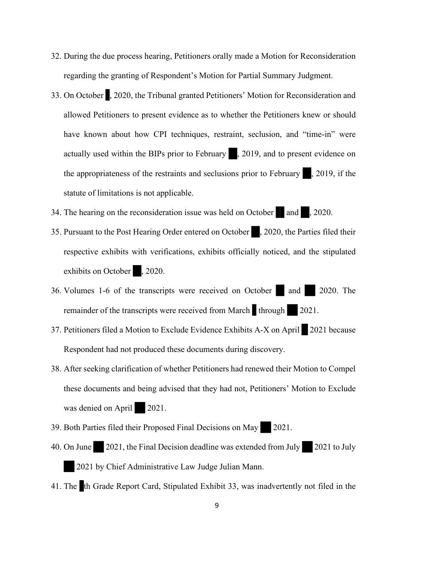- 32. During the due process hearing, Petitioners orally made a Motion for Reconsideration regarding the granting of Respondent's Motion for Partial Summary Judgment.
- 33. On October , 2020, the Tribunal granted Petitioners' Motion for Reconsideration and allowed Petitioners to present evidence as to whether the Petitioners knew or should have known about how CPI techniques, restraint, seclusion, and "time-in" were actually used within the BIPs prior to February , 2019, and to present evidence on the appropriateness of the restraints and seclusions prior to February , 2019, if the statute of limitations is not applicable.
- 34. The hearing on the reconsideration issue was held on October and , 2020.
- 35. Pursuant to the Post Hearing Order entered on October , 2020, the Parties filed their respective exhibits with verifications, exhibits officially noticed, and the stipulated exhibits on October , 2020.
- 36. Volumes 1-6 of the transcripts were received on October and 2020. The remainder of the transcripts were received from March through 2021.
- 37. Petitioners filed a Motion to Exclude Evidence Exhibits A-X on April 2021 because Respondent had not produced these documents during discovery.
- 38. After seeking clarification of whether Petitioners had renewed their Motion to Compel these documents and being advised that they had not, Petitioners' Motion to Exclude was denied on April 2021.
- 39. Both Parties filed their Proposed Final Decisions on May 2021.
- 40. On June 2021, the Final Decision deadline was extended from July 2021 to July 2021 by Chief Administrative Law Judge Julian Mann.
- 41. The th Grade Report Card, Stipulated Exhibit 33, was inadvertently not filed in the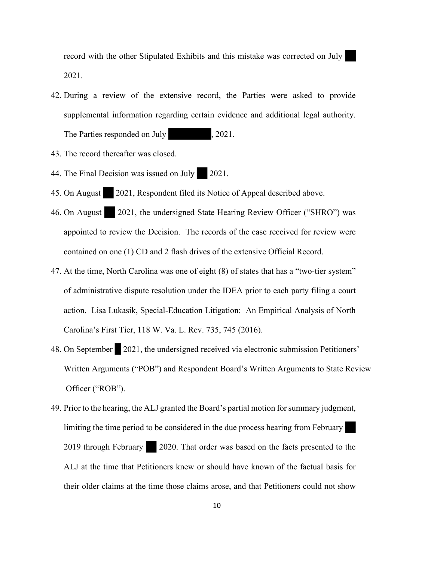record with the other Stipulated Exhibits and this mistake was corrected on July 2021.

42. During a review of the extensive record, the Parties were asked to provide supplemental information regarding certain evidence and additional legal authority.

The Parties responded on July 1. 2021.

- 43. The record thereafter was closed.
- 44. The Final Decision was issued on July 2021.
- 45. On August 2021, Respondent filed its Notice of Appeal described above.
- 46. On August 2021, the undersigned State Hearing Review Officer ("SHRO") was appointed to review the Decision. The records of the case received for review were contained on one (1) CD and 2 flash drives of the extensive Official Record.
- 47. At the time, North Carolina was one of eight (8) of states that has a "two-tier system" of administrative dispute resolution under the IDEA prior to each party filing a court action. Lisa Lukasik, Special-Education Litigation: An Empirical Analysis of North Carolina's First Tier, 118 W. Va. L. Rev. 735, 745 (2016).
- 48. On September 2021, the undersigned received via electronic submission Petitioners' Written Arguments ("POB") and Respondent Board's Written Arguments to State Review Officer ("ROB").
- 49. Prior to the hearing, the ALJ granted the Board's partial motion for summary judgment, limiting the time period to be considered in the due process hearing from February 2019 through February 2020. That order was based on the facts presented to the ALJ at the time that Petitioners knew or should have known of the factual basis for their older claims at the time those claims arose, and that Petitioners could not show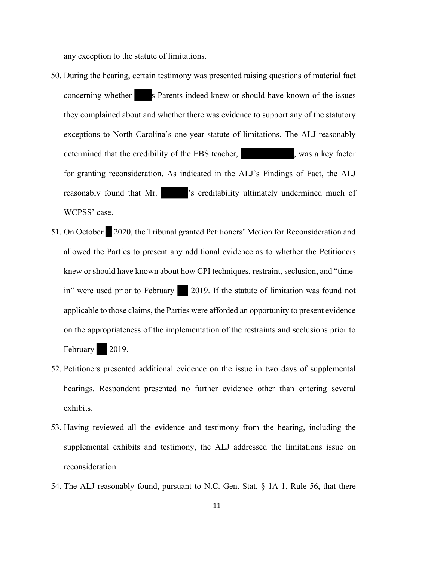any exception to the statute of limitations.

- 50. During the hearing, certain testimony was presented raising questions of material fact concerning whether s Parents indeed knew or should have known of the issues they complained about and whether there was evidence to support any of the statutory exceptions to North Carolina's one-year statute of limitations. The ALJ reasonably determined that the credibility of the EBS teacher, was a key factor for granting reconsideration. As indicated in the ALJ's Findings of Fact, the ALJ reasonably found that Mr.  $\cdot$  's creditability ultimately undermined much of WCPSS' case.
- 51. On October 2020, the Tribunal granted Petitioners' Motion for Reconsideration and allowed the Parties to present any additional evidence as to whether the Petitioners knew or should have known about how CPI techniques, restraint, seclusion, and "timein" were used prior to February 2019. If the statute of limitation was found not applicable to those claims, the Parties were afforded an opportunity to present evidence on the appropriateness of the implementation of the restraints and seclusions prior to February 2019.
- 52. Petitioners presented additional evidence on the issue in two days of supplemental hearings. Respondent presented no further evidence other than entering several exhibits.
- 53. Having reviewed all the evidence and testimony from the hearing, including the supplemental exhibits and testimony, the ALJ addressed the limitations issue on reconsideration.
- 54. The ALJ reasonably found, pursuant to N.C. Gen. Stat. § 1A-1, Rule 56, that there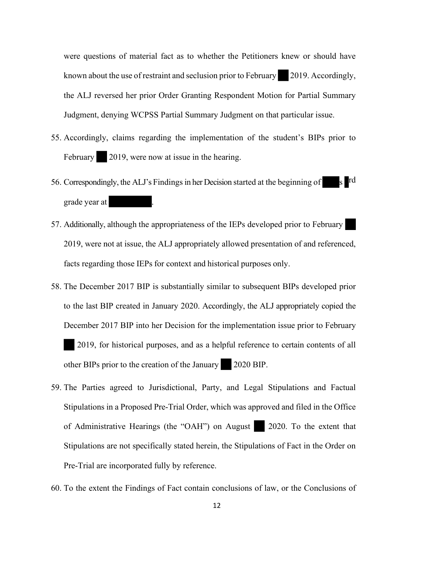were questions of material fact as to whether the Petitioners knew or should have known about the use of restraint and seclusion prior to February 2019. Accordingly, the ALJ reversed her prior Order Granting Respondent Motion for Partial Summary Judgment, denying WCPSS Partial Summary Judgment on that particular issue.

- 55. Accordingly, claims regarding the implementation of the student's BIPs prior to February 2019, were now at issue in the hearing.
- 56. Correspondingly, the ALJ's Findings in her Decision started at the beginning of s <sup>rd</sup> grade year at .
- 57. Additionally, although the appropriateness of the IEPs developed prior to February 2019, were not at issue, the ALJ appropriately allowed presentation of and referenced, facts regarding those IEPs for context and historical purposes only.
- 58. The December 2017 BIP is substantially similar to subsequent BIPs developed prior to the last BIP created in January 2020. Accordingly, the ALJ appropriately copied the December 2017 BIP into her Decision for the implementation issue prior to February 2019, for historical purposes, and as a helpful reference to certain contents of all other BIPs prior to the creation of the January 2020 BIP.
- 59. The Parties agreed to Jurisdictional, Party, and Legal Stipulations and Factual Stipulations in a Proposed Pre-Trial Order, which was approved and filed in the Office of Administrative Hearings (the "OAH") on August 2020. To the extent that Stipulations are not specifically stated herein, the Stipulations of Fact in the Order on Pre-Trial are incorporated fully by reference.
- 60. To the extent the Findings of Fact contain conclusions of law, or the Conclusions of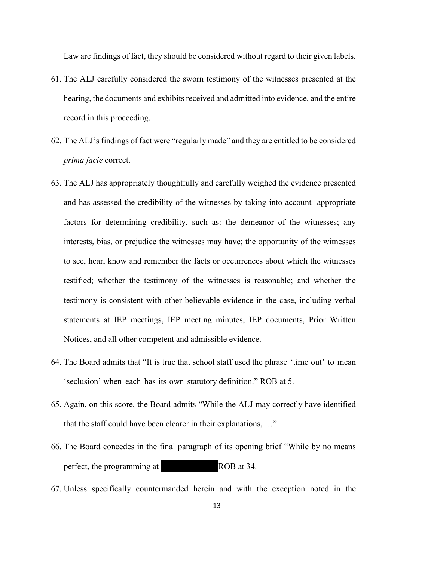Law are findings of fact, they should be considered without regard to their given labels.

- 61. The ALJ carefully considered the sworn testimony of the witnesses presented at the hearing, the documents and exhibits received and admitted into evidence, and the entire record in this proceeding.
- 62. The ALJ's findings of fact were "regularly made" and they are entitled to be considered *prima facie* correct.
- 63. The ALJ has appropriately thoughtfully and carefully weighed the evidence presented and has assessed the credibility of the witnesses by taking into account appropriate factors for determining credibility, such as: the demeanor of the witnesses; any interests, bias, or prejudice the witnesses may have; the opportunity of the witnesses to see, hear, know and remember the facts or occurrences about which the witnesses testified; whether the testimony of the witnesses is reasonable; and whether the testimony is consistent with other believable evidence in the case, including verbal statements at IEP meetings, IEP meeting minutes, IEP documents, Prior Written Notices, and all other competent and admissible evidence.
- 64. The Board admits that "It is true that school staff used the phrase 'time out' to mean 'seclusion' when each has its own statutory definition." ROB at 5.
- 65. Again, on this score, the Board admits "While the ALJ may correctly have identified that the staff could have been clearer in their explanations, …"
- 66. The Board concedes in the final paragraph of its opening brief "While by no means perfect, the programming at ROB at 34.
- 67. Unless specifically countermanded herein and with the exception noted in the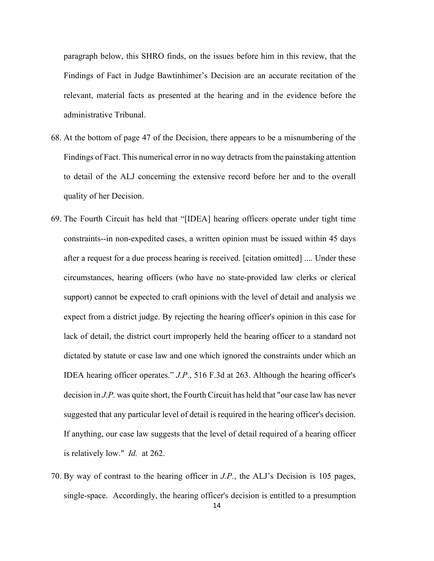paragraph below, this SHRO finds, on the issues before him in this review, that the Findings of Fact in Judge Bawtinhimer's Decision are an accurate recitation of the relevant, material facts as presented at the hearing and in the evidence before the administrative Tribunal.

- 68. At the bottom of page 47 of the Decision, there appears to be a misnumbering of the Findings of Fact. This numerical error in no way detracts from the painstaking attention to detail of the ALJ concerning the extensive record before her and to the overall quality of her Decision.
- 69. The Fourth Circuit has held that "[IDEA] hearing officers operate under tight time constraints--in non-expedited cases, a written opinion must be issued within 45 days after a request for a due process hearing is received. [citation omitted] .... Under these circumstances, hearing officers (who have no state-provided law clerks or clerical support) cannot be expected to craft opinions with the level of detail and analysis we expect from a district judge. By rejecting the hearing officer's opinion in this case for lack of detail, the district court improperly held the hearing officer to a standard not dictated by statute or case law and one which ignored the constraints under which an IDEA hearing officer operates." *J.P*., 516 F.3d at 263. Although the hearing officer's decision in *J.P.* was quite short, the Fourth Circuit has held that "our case law has never suggested that any particular level of detail is required in the hearing officer's decision. If anything, our case law suggests that the level of detail required of a hearing officer is relatively low." *Id.* at 262.
- 70. By way of contrast to the hearing officer in *J.P.*, the ALJ's Decision is 105 pages, single-space. Accordingly, the hearing officer's decision is entitled to a presumption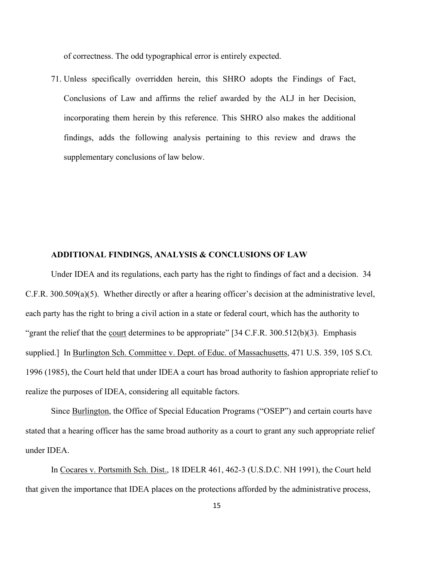of correctness. The odd typographical error is entirely expected.

71. Unless specifically overridden herein, this SHRO adopts the Findings of Fact, Conclusions of Law and affirms the relief awarded by the ALJ in her Decision, incorporating them herein by this reference. This SHRO also makes the additional findings, adds the following analysis pertaining to this review and draws the supplementary conclusions of law below.

### **ADDITIONAL FINDINGS, ANALYSIS & CONCLUSIONS OF LAW**

Under IDEA and its regulations, each party has the right to findings of fact and a decision. 34 C.F.R. 300.509(a)(5). Whether directly or after a hearing officer's decision at the administrative level, each party has the right to bring a civil action in a state or federal court, which has the authority to "grant the relief that the court determines to be appropriate"  $[34 \text{ C.F.R. } 300.512(b)(3)$ . Emphasis supplied.] In Burlington Sch. Committee v. Dept. of Educ. of Massachusetts, 471 U.S. 359, 105 S.Ct. 1996 (1985), the Court held that under IDEA a court has broad authority to fashion appropriate relief to realize the purposes of IDEA, considering all equitable factors.

Since Burlington, the Office of Special Education Programs ("OSEP") and certain courts have stated that a hearing officer has the same broad authority as a court to grant any such appropriate relief under IDEA.

In Cocares v. Portsmith Sch. Dist., 18 IDELR 461, 462-3 (U.S.D.C. NH 1991), the Court held that given the importance that IDEA places on the protections afforded by the administrative process,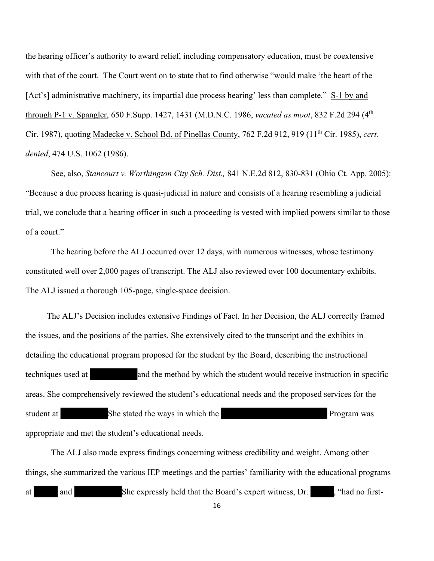the hearing officer's authority to award relief, including compensatory education, must be coextensive with that of the court. The Court went on to state that to find otherwise "would make 'the heart of the [Act's] administrative machinery, its impartial due process hearing' less than complete." S-1 by and through P-1 v. Spangler, 650 F.Supp. 1427, 1431 (M.D.N.C. 1986, *vacated as moot*, 832 F.2d 294 (4th Cir. 1987), quoting Madecke v. School Bd. of Pinellas County, 762 F.2d 912, 919 (11th Cir. 1985), *cert. denied*, 474 U.S. 1062 (1986).

See, also, *Stancourt v. Worthington City Sch. Dist.,* 841 N.E.2d 812, 830-831 (Ohio Ct. App. 2005): "Because a due process hearing is quasi-judicial in nature and consists of a hearing resembling a judicial trial, we conclude that a hearing officer in such a proceeding is vested with implied powers similar to those of a court."

 The hearing before the ALJ occurred over 12 days, with numerous witnesses, whose testimony constituted well over 2,000 pages of transcript. The ALJ also reviewed over 100 documentary exhibits. The ALJ issued a thorough 105-page, single-space decision.

 The ALJ's Decision includes extensive Findings of Fact. In her Decision, the ALJ correctly framed the issues, and the positions of the parties. She extensively cited to the transcript and the exhibits in detailing the educational program proposed for the student by the Board, describing the instructional techniques used at and the method by which the student would receive instruction in specific areas. She comprehensively reviewed the student's educational needs and the proposed services for the student at She stated the ways in which the **Sheparated Sheparated Sheparated Sheparated Sheparated Sheparated Sheparated Sheparated Sheparated Sheparated Sheparated Sheparated Sheparated Sheparated Sheparated Sheparated S** appropriate and met the student's educational needs.

The ALJ also made express findings concerning witness credibility and weight. Among other things, she summarized the various IEP meetings and the parties' familiarity with the educational programs at and She expressly held that the Board's expert witness, Dr. , "had no first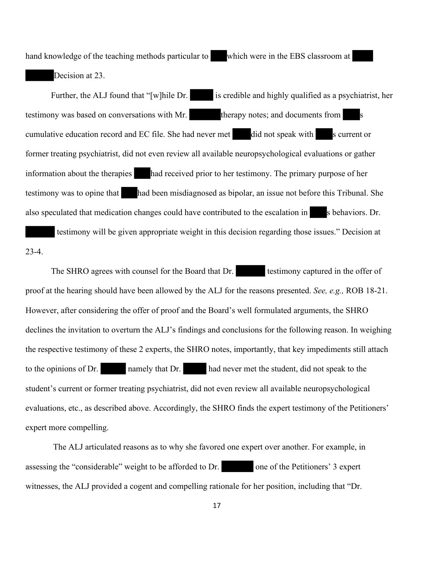hand knowledge of the teaching methods particular to which were in the EBS classroom at Decision at 23.

Further, the ALJ found that "[w]hile Dr. is credible and highly qualified as a psychiatrist, her testimony was based on conversations with Mr. therapy notes; and documents from cumulative education record and EC file. She had never met did not speak with s current or former treating psychiatrist, did not even review all available neuropsychological evaluations or gather information about the therapies had received prior to her testimony. The primary purpose of her testimony was to opine that had been misdiagnosed as bipolar, an issue not before this Tribunal. She also speculated that medication changes could have contributed to the escalation in s behaviors. Dr.

 testimony will be given appropriate weight in this decision regarding those issues." Decision at 23-4.

The SHRO agrees with counsel for the Board that Dr. testimony captured in the offer of proof at the hearing should have been allowed by the ALJ for the reasons presented. *See, e.g.,* ROB 18-21. However, after considering the offer of proof and the Board's well formulated arguments, the SHRO declines the invitation to overturn the ALJ's findings and conclusions for the following reason. In weighing the respective testimony of these 2 experts, the SHRO notes, importantly, that key impediments still attach to the opinions of Dr. namely that Dr. had never met the student, did not speak to the student's current or former treating psychiatrist, did not even review all available neuropsychological evaluations, etc., as described above. Accordingly, the SHRO finds the expert testimony of the Petitioners' expert more compelling.

 The ALJ articulated reasons as to why she favored one expert over another. For example, in assessing the "considerable" weight to be afforded to Dr. one of the Petitioners' 3 expert witnesses, the ALJ provided a cogent and compelling rationale for her position, including that "Dr.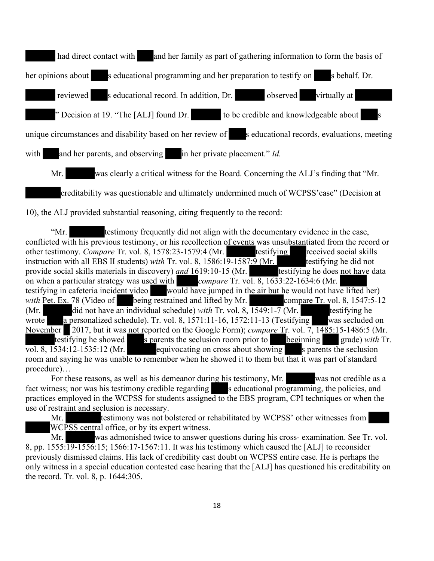had direct contact with and her family as part of gathering information to form the basis of her opinions about s educational programming and her preparation to testify on s behalf. Dr. reviewed s educational record. In addition, Dr. between virtually at " Decision at 19. "The [ALJ] found Dr. to be credible and knowledgeable about unique circumstances and disability based on her review of  $\blacksquare$  s educational records, evaluations, meeting with and her parents, and observing in her private placement." *Id.* Mr. was clearly a critical witness for the Board. Concerning the ALJ's finding that "Mr. creditability was questionable and ultimately undermined much of WCPSS'case" (Decision at

10), the ALJ provided substantial reasoning, citing frequently to the record:

"Mr. testimony frequently did not align with the documentary evidence in the case, conflicted with his previous testimony, or his recollection of events was unsubstantiated from the record or other testimony. *Compare* Tr. vol. 8, 1578:23-1579:4 (Mr. testifying received social skills instruction with all EBS II students) *with* Tr. vol. 8, 1586:19-1587:9 (Mr. testifying he did not provide social skills materials in discovery) and 1619:10-15 (Mr. testifying he does not have data on when a particular strategy was used with *compare* Tr. vol. 8, 1633:22-1634:6 (Mr. testifying in cafeteria incident video would have jumped in the air but he would not have lifted her) *with Pet. Ex. 78 (Video of being restrained and lifted by Mr. compare Tr. vol. 8, 1547:5-12* (Mr. did not have an individual schedule) *with* Tr. vol. 8, 1549:1-7 (Mr. testifying he wrote a personalized schedule). Tr. vol. 8, 1571:11-16, 1572:11-13 (Testifying was secluded on November 2017, but it was not reported on the Google Form); *compare* Tr. vol. 7, 1485:15-1486:5 (Mr. testifying he showed s parents the seclusion room prior to beginning grade) *with*  $Tr$ . vol. 8, 1534:12-1535:12 (Mr. equivocating on cross about showing s parents the seclusion room and saying he was unable to remember when he showed it to them but that it was part of standard procedure)…

For these reasons, as well as his demeanor during his testimony, Mr. was not credible as a fact witness; nor was his testimony credible regarding s educational programming, the policies, and practices employed in the WCPSS for students assigned to the EBS program, CPI techniques or when the use of restraint and seclusion is necessary.

Mr. testimony was not bolstered or rehabilitated by WCPSS' other witnesses from WCPSS central office, or by its expert witness.

Mr. was admonished twice to answer questions during his cross- examination. See Tr. vol. 8, pp. 1555:19-1556:15; 1566:17-1567:11. It was his testimony which caused the [ALJ] to reconsider previously dismissed claims. His lack of credibility cast doubt on WCPSS entire case. He is perhaps the only witness in a special education contested case hearing that the [ALJ] has questioned his creditability on the record. Tr. vol. 8, p. 1644:305.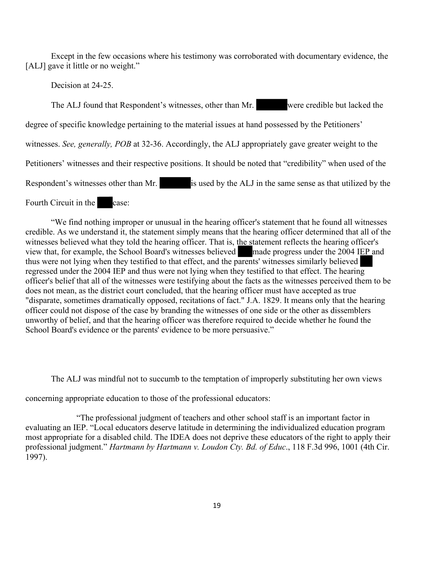Except in the few occasions where his testimony was corroborated with documentary evidence, the [ALJ] gave it little or no weight."

Decision at 24-25.

The ALJ found that Respondent's witnesses, other than Mr. were credible but lacked the degree of specific knowledge pertaining to the material issues at hand possessed by the Petitioners' witnesses. *See, generally, POB* at 32-36. Accordingly, the ALJ appropriately gave greater weight to the Petitioners' witnesses and their respective positions. It should be noted that "credibility" when used of the Respondent's witnesses other than Mr. is used by the ALJ in the same sense as that utilized by the Fourth Circuit in the case:

"We find nothing improper or unusual in the hearing officer's statement that he found all witnesses credible. As we understand it, the statement simply means that the hearing officer determined that all of the witnesses believed what they told the hearing officer. That is, the statement reflects the hearing officer's view that, for example, the School Board's witnesses believed made progress under the 2004 IEP and thus were not lying when they testified to that effect, and the parents' witnesses similarly believed regressed under the 2004 IEP and thus were not lying when they testified to that effect. The hearing officer's belief that all of the witnesses were testifying about the facts as the witnesses perceived them to be does not mean, as the district court concluded, that the hearing officer must have accepted as true "disparate, sometimes dramatically opposed, recitations of fact." J.A. 1829. It means only that the hearing officer could not dispose of the case by branding the witnesses of one side or the other as dissemblers unworthy of belief, and that the hearing officer was therefore required to decide whether he found the School Board's evidence or the parents' evidence to be more persuasive."

The ALJ was mindful not to succumb to the temptation of improperly substituting her own views

concerning appropriate education to those of the professional educators:

 "The professional judgment of teachers and other school staff is an important factor in evaluating an IEP. "Local educators deserve latitude in determining the individualized education program most appropriate for a disabled child. The IDEA does not deprive these educators of the right to apply their professional judgment." *Hartmann by Hartmann v. Loudon Cty. Bd. of Educ*., 118 F.3d 996, 1001 (4th Cir. 1997).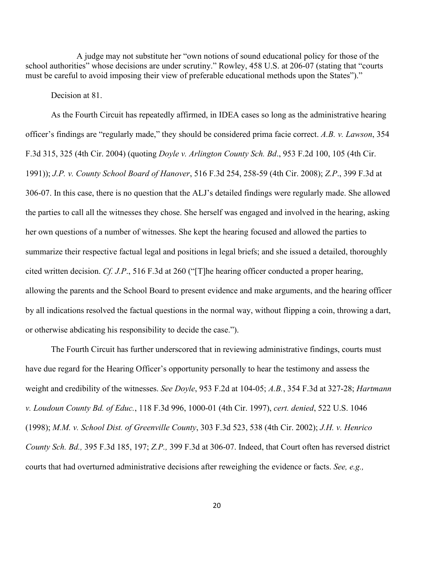A judge may not substitute her "own notions of sound educational policy for those of the school authorities" whose decisions are under scrutiny." Rowley, 458 U.S. at 206-07 (stating that "courts must be careful to avoid imposing their view of preferable educational methods upon the States")."

Decision at 81.

As the Fourth Circuit has repeatedly affirmed, in IDEA cases so long as the administrative hearing officer's findings are "regularly made," they should be considered prima facie correct. *A.B. v. Lawson*, 354 F.3d 315, 325 (4th Cir. 2004) (quoting *Doyle v. Arlington County Sch. Bd*., 953 F.2d 100, 105 (4th Cir. 1991)); *J.P. v. County School Board of Hanover*, 516 F.3d 254, 258-59 (4th Cir. 2008); *Z.P*., 399 F.3d at 306-07. In this case, there is no question that the ALJ's detailed findings were regularly made. She allowed the parties to call all the witnesses they chose. She herself was engaged and involved in the hearing, asking her own questions of a number of witnesses. She kept the hearing focused and allowed the parties to summarize their respective factual legal and positions in legal briefs; and she issued a detailed, thoroughly cited written decision. *Cf. J.P*., 516 F.3d at 260 ("[T]he hearing officer conducted a proper hearing, allowing the parents and the School Board to present evidence and make arguments, and the hearing officer by all indications resolved the factual questions in the normal way, without flipping a coin, throwing a dart, or otherwise abdicating his responsibility to decide the case.").

 The Fourth Circuit has further underscored that in reviewing administrative findings, courts must have due regard for the Hearing Officer's opportunity personally to hear the testimony and assess the weight and credibility of the witnesses. *See Doyle*, 953 F.2d at 104-05; *A.B.*, 354 F.3d at 327-28; *Hartmann v. Loudoun County Bd. of Educ.*, 118 F.3d 996, 1000-01 (4th Cir. 1997), *cert. denied*, 522 U.S. 1046 (1998); *M.M. v. School Dist. of Greenville County*, 303 F.3d 523, 538 (4th Cir. 2002); *J.H. v. Henrico County Sch. Bd.,* 395 F.3d 185, 197; *Z.P.,* 399 F.3d at 306-07. Indeed, that Court often has reversed district courts that had overturned administrative decisions after reweighing the evidence or facts. *See, e.g.,*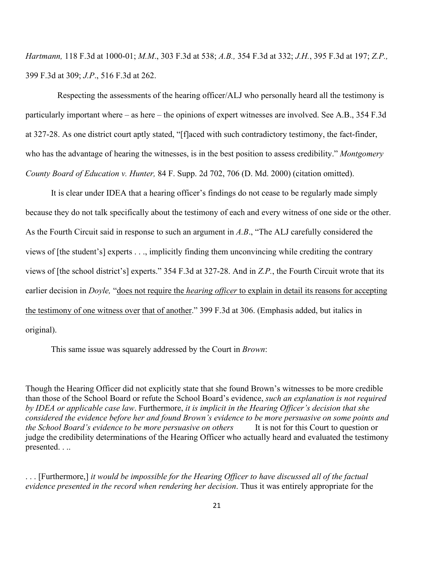*Hartmann,* 118 F.3d at 1000-01; *M.M*., 303 F.3d at 538; *A.B.,* 354 F.3d at 332; *J.H.*, 395 F.3d at 197; *Z.P.,*  399 F.3d at 309; *J.P*., 516 F.3d at 262.

 Respecting the assessments of the hearing officer/ALJ who personally heard all the testimony is particularly important where – as here – the opinions of expert witnesses are involved. See A.B., 354 F.3d at 327-28. As one district court aptly stated, "[f]aced with such contradictory testimony, the fact-finder, who has the advantage of hearing the witnesses, is in the best position to assess credibility." *Montgomery County Board of Education v. Hunter,* 84 F. Supp. 2d 702, 706 (D. Md. 2000) (citation omitted).

It is clear under IDEA that a hearing officer's findings do not cease to be regularly made simply because they do not talk specifically about the testimony of each and every witness of one side or the other. As the Fourth Circuit said in response to such an argument in *A.B*., "The ALJ carefully considered the views of [the student's] experts . . ., implicitly finding them unconvincing while crediting the contrary views of [the school district's] experts." 354 F.3d at 327-28. And in *Z.P.*, the Fourth Circuit wrote that its earlier decision in *Doyle,* "does not require the *hearing officer* to explain in detail its reasons for accepting the testimony of one witness over that of another." 399 F.3d at 306. (Emphasis added, but italics in original).

This same issue was squarely addressed by the Court in *Brown*:

Though the Hearing Officer did not explicitly state that she found Brown's witnesses to be more credible than those of the School Board or refute the School Board's evidence, *such an explanation is not required by IDEA or applicable case law*. Furthermore, *it is implicit in the Hearing Officer's decision that she considered the evidence before her and found Brown's evidence to be more persuasive on some points and the School Board's evidence to be more persuasive on others* It is not for this Court to question or judge the credibility determinations of the Hearing Officer who actually heard and evaluated the testimony presented. . ..

. . . [Furthermore,] *it would be impossible for the Hearing Officer to have discussed all of the factual evidence presented in the record when rendering her decision*. Thus it was entirely appropriate for the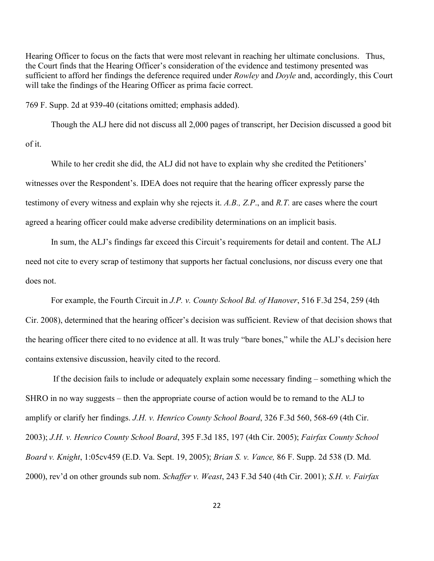Hearing Officer to focus on the facts that were most relevant in reaching her ultimate conclusions. Thus, the Court finds that the Hearing Officer's consideration of the evidence and testimony presented was sufficient to afford her findings the deference required under *Rowley* and *Doyle* and, accordingly, this Court will take the findings of the Hearing Officer as prima facie correct.

769 F. Supp. 2d at 939-40 (citations omitted; emphasis added).

Though the ALJ here did not discuss all 2,000 pages of transcript, her Decision discussed a good bit of it.

While to her credit she did, the ALJ did not have to explain why she credited the Petitioners' witnesses over the Respondent's. IDEA does not require that the hearing officer expressly parse the testimony of every witness and explain why she rejects it. *A.B., Z.P*., and *R.T.* are cases where the court agreed a hearing officer could make adverse credibility determinations on an implicit basis.

In sum, the ALJ's findings far exceed this Circuit's requirements for detail and content. The ALJ need not cite to every scrap of testimony that supports her factual conclusions, nor discuss every one that does not.

For example, the Fourth Circuit in *J.P. v. County School Bd. of Hanover*, 516 F.3d 254, 259 (4th Cir. 2008), determined that the hearing officer's decision was sufficient. Review of that decision shows that the hearing officer there cited to no evidence at all. It was truly "bare bones," while the ALJ's decision here contains extensive discussion, heavily cited to the record.

If the decision fails to include or adequately explain some necessary finding – something which the SHRO in no way suggests – then the appropriate course of action would be to remand to the ALJ to amplify or clarify her findings. *J.H. v. Henrico County School Board*, 326 F.3d 560, 568-69 (4th Cir. 2003); *J.H. v. Henrico County School Board*, 395 F.3d 185, 197 (4th Cir. 2005); *Fairfax County School Board v. Knight*, 1:05cv459 (E.D. Va. Sept. 19, 2005); *Brian S. v. Vance,* 86 F. Supp. 2d 538 (D. Md. 2000), rev'd on other grounds sub nom. *Schaffer v. Weast*, 243 F.3d 540 (4th Cir. 2001); *S.H. v. Fairfax*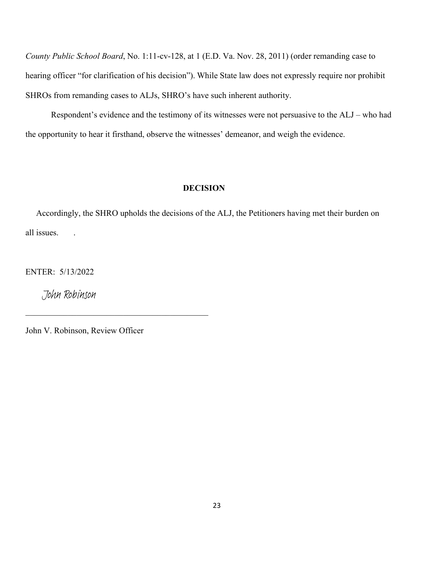*County Public School Board*, No. 1:11-cv-128, at 1 (E.D. Va. Nov. 28, 2011) (order remanding case to hearing officer "for clarification of his decision"). While State law does not expressly require nor prohibit SHROs from remanding cases to ALJs, SHRO's have such inherent authority.

Respondent's evidence and the testimony of its witnesses were not persuasive to the ALJ – who had the opportunity to hear it firsthand, observe the witnesses' demeanor, and weigh the evidence.

## **DECISION**

Accordingly, the SHRO upholds the decisions of the ALJ, the Petitioners having met their burden on all issues.  $\qquad$ .

ENTER: 5/13/2022

John Robinson

John V. Robinson, Review Officer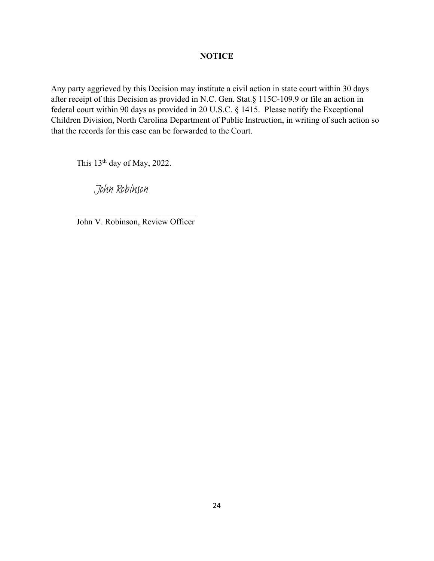## **NOTICE**

Any party aggrieved by this Decision may institute a civil action in state court within 30 days after receipt of this Decision as provided in N.C. Gen. Stat.§ 115C-109.9 or file an action in federal court within 90 days as provided in 20 U.S.C. § 1415. Please notify the Exceptional Children Division, North Carolina Department of Public Instruction, in writing of such action so that the records for this case can be forwarded to the Court.

This 13<sup>th</sup> day of May, 2022.

John Robinson

\_\_\_\_\_\_\_\_\_\_\_\_\_\_\_\_\_\_\_\_\_\_\_\_\_\_\_\_

John V. Robinson, Review Officer